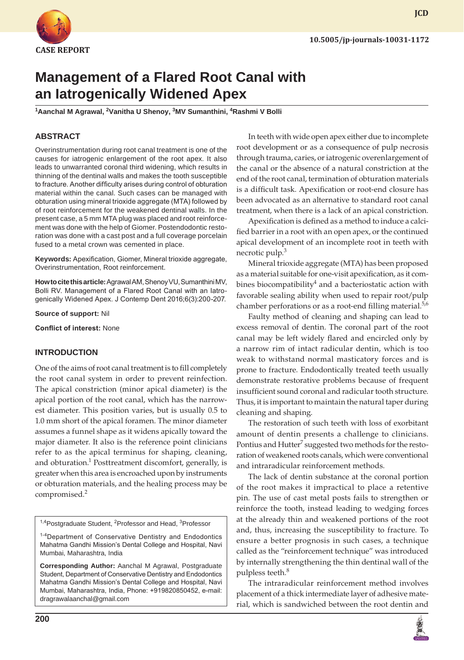

**JCD**

# **Management of a Flared Root Canal with an Iatrogenically Widened Apex**

**1 Aanchal M Agrawal, 2 Vanitha U Shenoy, 3 MV Sumanthini, 4 Rashmi V Bolli**

## **ABSTRACT**

Overinstrumentation during root canal treatment is one of the causes for iatrogenic enlargement of the root apex. It also leads to unwarranted coronal third widening, which results in thinning of the dentinal walls and makes the tooth susceptible to fracture. Another difficulty arises during control of obturation material within the canal. Such cases can be managed with obturation using mineral trioxide aggregate (MTA) followed by of root reinforcement for the weakened dentinal walls. In the present case, a 5 mm MTA plug was placed and root reinforcement was done with the help of Giomer. Postendodontic restoration was done with a cast post and a full coverage porcelain fused to a metal crown was cemented in place.

**Keywords:** Apexification, Giomer, Mineral trioxide aggregate, Overinstrumentation, Root reinforcement.

**How to cite this article:** Agrawal AM, Shenoy VU, Sumanthini MV, Bolli RV. Management of a Flared Root Canal with an Iatrogenically Widened Apex. J Contemp Dent 2016;6(3):200-207.

**Source of support:** Nil

**Conflict of interest:** None

#### **INTRODUCTION**

One of the aims of root canal treatment is to fill completely the root canal system in order to prevent reinfection. The apical constriction (minor apical diameter) is the apical portion of the root canal, which has the narrowest diameter. This position varies, but is usually 0.5 to 1.0 mm short of the apical foramen. The minor diameter assumes a funnel shape as it widens apically toward the major diameter. It also is the reference point clinicians refer to as the apical terminus for shaping, cleaning, and obturation.<sup>1</sup> Posttreatment discomfort, generally, is greater when this area is encroached upon by instruments or obturation materials, and the healing process may be compromised.<sup>2</sup>

<sup>1,4</sup>Postgraduate Student, <sup>2</sup>Professor and Head, <sup>3</sup>Professor

<sup>1-4</sup>Department of Conservative Dentistry and Endodontics Mahatma Gandhi Mission's Dental College and Hospital, Navi Mumbai, Maharashtra, India

**Corresponding Author:** Aanchal M Agrawal, Postgraduate Student, Department of Conservative Dentistry and Endodontics Mahatma Gandhi Mission's Dental College and Hospital, Navi Mumbai, Maharashtra, India, Phone: +919820850452, e-mail: dragrawalaanchal@gmail.com

In teeth with wide open apex either due to incomplete root development or as a consequence of pulp necrosis through trauma, caries, or iatrogenic overenlargement of the canal or the absence of a natural constriction at the end of the root canal, termination of obturation materials is a difficult task. Apexification or root-end closure has been advocated as an alternative to standard root canal treatment, when there is a lack of an apical constriction.

Apexification is defined as a method to induce a calcified barrier in a root with an open apex, or the continued apical development of an incomplete root in teeth with necrotic pulp.<sup>3</sup>

Mineral trioxide aggregate (MTA) has been proposed as a material suitable for one-visit apexification, as it combines biocompatibility<sup>4</sup> and a bacteriostatic action with favorable sealing ability when used to repair root/pulp chamber perforations or as a root-end filling material.<sup>5,6</sup>

Faulty method of cleaning and shaping can lead to excess removal of dentin. The coronal part of the root canal may be left widely flared and encircled only by a narrow rim of intact radicular dentin, which is too weak to withstand normal masticatory forces and is prone to fracture. Endodontically treated teeth usually demonstrate restorative problems because of frequent insufficient sound coronal and radicular tooth structure. Thus, it is important to maintain the natural taper during cleaning and shaping.

The restoration of such teeth with loss of exorbitant amount of dentin presents a challenge to clinicians. Pontius and Hutter $^7$  suggested two methods for the restoration of weakened roots canals, which were conventional and intraradicular reinforcement methods.

The lack of dentin substance at the coronal portion of the root makes it impractical to place a retentive pin. The use of cast metal posts fails to strengthen or reinforce the tooth, instead leading to wedging forces at the already thin and weakened portions of the root and, thus, increasing the susceptibility to fracture. To ensure a better prognosis in such cases, a technique called as the "reinforcement technique" was introduced by internally strengthening the thin dentinal wall of the pulpless teeth.<sup>8</sup>

The intraradicular reinforcement method involves placement of a thick intermediate layer of adhesive material, which is sandwiched between the root dentin and

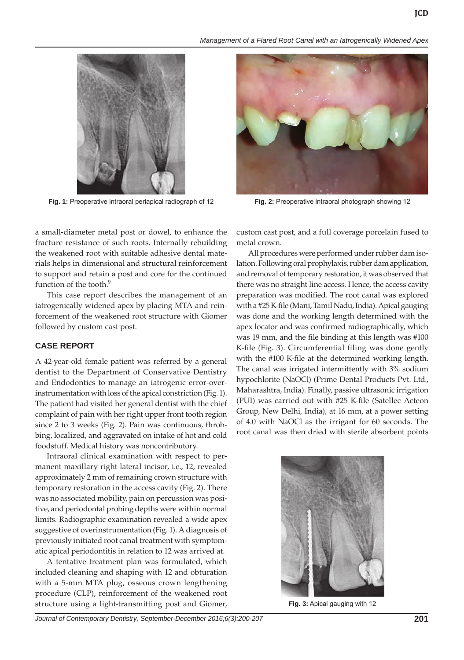*Management of a Flared Root Canal with an Iatrogenically Widened Apex*



**Fig. 1:** Preoperative intraoral periapical radiograph of 12 **Fig. 2:** Preoperative intraoral photograph showing 12



a small-diameter metal post or dowel, to enhance the fracture resistance of such roots. Internally rebuilding the weakened root with suitable adhesive dental materials helps in dimensional and structural reinforcement to support and retain a post and core for the continued function of the tooth.<sup>9</sup>

This case report describes the management of an iatrogenically widened apex by placing MTA and reinforcement of the weakened root structure with Giomer followed by custom cast post.

## **CASE REPORT**

A 42-year-old female patient was referred by a general dentist to the Department of Conservative Dentistry and Endodontics to manage an iatrogenic error-overinstrumentation with loss of the apical constriction (Fig. 1). The patient had visited her general dentist with the chief complaint of pain with her right upper front tooth region since 2 to 3 weeks (Fig. 2). Pain was continuous, throbbing, localized, and aggravated on intake of hot and cold foodstuff. Medical history was noncontributory.

Intraoral clinical examination with respect to permanent maxillary right lateral incisor, i.e., 12, revealed approximately 2 mm of remaining crown structure with temporary restoration in the access cavity (Fig. 2). There was no associated mobility, pain on percussion was positive, and periodontal probing depths were within normal limits. Radiographic examination revealed a wide apex suggestive of overinstrumentation (Fig. 1). A diagnosis of previously initiated root canal treatment with symptomatic apical periodontitis in relation to 12 was arrived at.

A tentative treatment plan was formulated, which included cleaning and shaping with 12 and obturation with a 5-mm MTA plug, osseous crown lengthening procedure (CLP), reinforcement of the weakened root structure using a light-transmitting post and Giomer, custom cast post, and a full coverage porcelain fused to metal crown.

All procedures were performed under rubber dam isolation. Following oral prophylaxis, rubber dam application, and removal of temporary restoration, it was observed that there was no straight line access. Hence, the access cavity preparation was modified. The root canal was explored with a #25 K-file (Mani, Tamil Nadu, India). Apical gauging was done and the working length determined with the apex locator and was confirmed radiographically, which was 19 mm, and the file binding at this length was #100 K-file (Fig. 3). Circumferential filing was done gently with the #100 K-file at the determined working length. The canal was irrigated intermittently with 3% sodium hypochlorite (NaOCl) (Prime Dental Products Pvt. Ltd., Maharashtra, India). Finally, passive ultrasonic irrigation (PUI) was carried out with #25 K-file (Satellec Acteon Group, New Delhi, India), at 16 mm, at a power setting of 4.0 with NaOCl as the irrigant for 60 seconds. The root canal was then dried with sterile absorbent points



**Fig. 3:** Apical gauging with 12

*Journal of Contemporary Dentistry, September-December 2016;6(3):200-207* **201**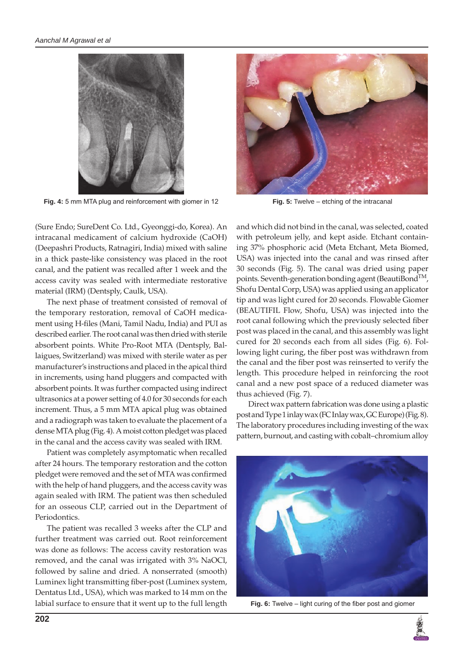

**Fig. 4:** 5 mm MTA plug and reinforcement with giomer in 12 **Fig. 5:** Twelve – etching of the intracanal



(Sure Endo; SureDent Co. Ltd., Gyeonggi-do, Korea). An intracanal medicament of calcium hydroxide (CaOH) (Deepashri Products, Ratnagiri, India) mixed with saline in a thick paste-like consistency was placed in the root canal, and the patient was recalled after 1 week and the access cavity was sealed with intermediate restorative material (IRM) (Dentsply, Caulk, USA).

The next phase of treatment consisted of removal of the temporary restoration, removal of CaOH medicament using H-files (Mani, Tamil Nadu, India) and PUI as described earlier. The root canal was then dried with sterile absorbent points. White Pro-Root MTA (Dentsply, Ballaigues, Switzerland) was mixed with sterile water as per manufacturer's instructions and placed in the apical third in increments, using hand pluggers and compacted with absorbent points. It was further compacted using indirect ultrasonics at a power setting of 4.0 for 30 seconds for each increment. Thus, a 5 mm MTA apical plug was obtained and a radiograph was taken to evaluate the placement of a dense MTA plug (Fig. 4). A moist cotton pledget was placed in the canal and the access cavity was sealed with IRM.

Patient was completely asymptomatic when recalled after 24 hours. The temporary restoration and the cotton pledget were removed and the set of MTA was confirmed with the help of hand pluggers, and the access cavity was again sealed with IRM. The patient was then scheduled for an osseous CLP, carried out in the Department of Periodontics.

The patient was recalled 3 weeks after the CLP and further treatment was carried out. Root reinforcement was done as follows: The access cavity restoration was removed, and the canal was irrigated with 3% NaOCl, followed by saline and dried. A nonserrated (smooth) Luminex light transmitting fiber-post (Luminex system, Dentatus Ltd., USA), which was marked to 14 mm on the labial surface to ensure that it went up to the full length

and which did not bind in the canal, was selected, coated with petroleum jelly, and kept aside. Etchant containing 37% phosphoric acid (Meta Etchant, Meta Biomed, USA) was injected into the canal and was rinsed after 30 seconds (Fig. 5). The canal was dried using paper points. Seventh-generation bonding agent (BeautiBond<sup>TM</sup>, Shofu Dental Corp, USA) was applied using an applicator tip and was light cured for 20 seconds. Flowable Giomer (BEAUTIFIL Flow, Shofu, USA) was injected into the root canal following which the previously selected fiber post was placed in the canal, and this assembly was light cured for 20 seconds each from all sides (Fig. 6). Following light curing, the fiber post was withdrawn from the canal and the fiber post was reinserted to verify the length. This procedure helped in reinforcing the root canal and a new post space of a reduced diameter was thus achieved (Fig. 7).

Direct wax pattern fabrication was done using a plastic post and Type 1 inlay wax (FC Inlay wax, GC Europe) (Fig. 8). The laboratory procedures including investing of the wax pattern, burnout, and casting with cobalt–chromium alloy



**Fig. 6:** Twelve – light curing of the fiber post and giomer

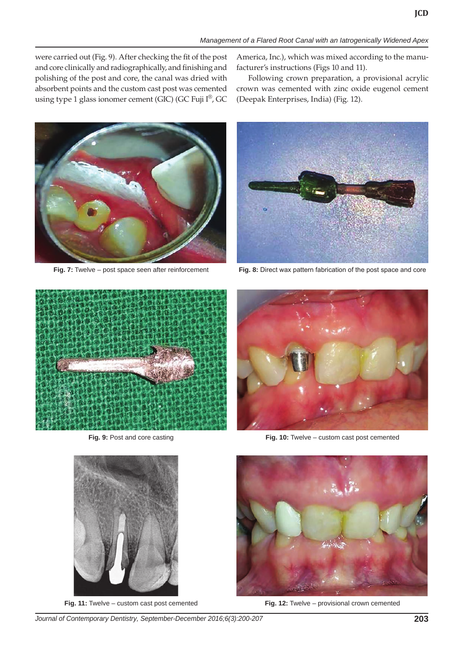were carried out (Fig. 9). After checking the fit of the post and core clinically and radiographically, and finishing and polishing of the post and core, the canal was dried with absorbent points and the custom cast post was cemented using type 1 glass ionomer cement (GIC) (GC Fuji I®, GC

America, Inc.), which was mixed according to the manufacturer's instructions (Figs 10 and 11).

Following crown preparation, a provisional acrylic crown was cemented with zinc oxide eugenol cement (Deepak Enterprises, India) (Fig. 12).



**Fig. 7:** Twelve – post space seen after reinforcement **Fig. 8:** Direct wax pattern fabrication of the post space and core





**Fig. 11:** Twelve – custom cast post cemented **Fig. 12:** Twelve – provisional crown cemented



**Fig. 9:** Post and core casting **Fig. 10:** Twelve – custom cast post cemented

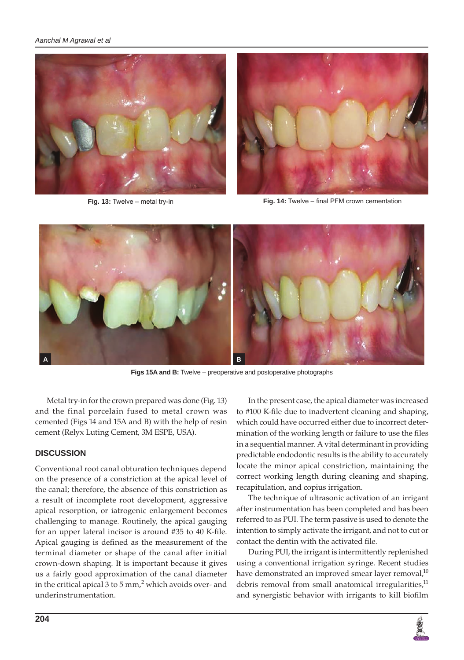



**Fig. 13:** Twelve – metal try-in **Fig. 14:** Twelve – final PFM crown cementation



**Figs 15A and B:** Twelve – preoperative and postoperative photographs

Metal try-in for the crown prepared was done (Fig. 13) and the final porcelain fused to metal crown was cemented (Figs 14 and 15A and B) with the help of resin cement (Relyx Luting Cement, 3M ESPE, USA).

## **DISCUSSION**

Conventional root canal obturation techniques depend on the presence of a constriction at the apical level of the canal; therefore, the absence of this constriction as a result of incomplete root development, aggressive apical resorption, or iatrogenic enlargement becomes challenging to manage. Routinely, the apical gauging for an upper lateral incisor is around #35 to 40 K-file. Apical gauging is defined as the measurement of the terminal diameter or shape of the canal after initial crown-down shaping. It is important because it gives us a fairly good approximation of the canal diameter in the critical apical 3 to 5 mm,<sup>2</sup> which avoids over- and underinstrumentation.

In the present case, the apical diameter was increased to #100 K-file due to inadvertent cleaning and shaping, which could have occurred either due to incorrect determination of the working length or failure to use the files in a sequential manner. A vital determinant in providing predictable endodontic results is the ability to accurately locate the minor apical constriction, maintaining the correct working length during cleaning and shaping, recapitulation, and copius irrigation.

The technique of ultrasonic activation of an irrigant after instrumentation has been completed and has been referred to as PUI. The term passive is used to denote the intention to simply activate the irrigant, and not to cut or contact the dentin with the activated file.

During PUI, the irrigant is intermittently replenished using a conventional irrigation syringe. Recent studies have demonstrated an improved smear layer removal, $^{10}$ debris removal from small anatomical irregularities, $^{11}$ and synergistic behavior with irrigants to kill biofilm

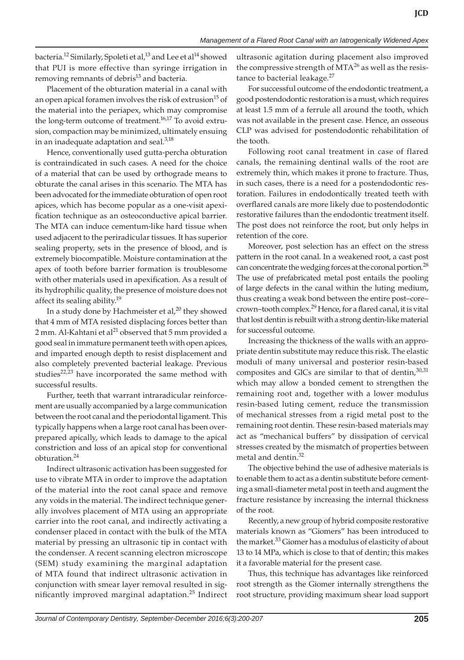bacteria.<sup>12</sup> Similarly, Spoleti et al,<sup>13</sup> and Lee et al<sup>14</sup> showed that PUI is more effective than syringe irrigation in removing remnants of debris<sup>13</sup> and bacteria.

Placement of the obturation material in a canal with an open apical foramen involves the risk of extrusion<sup>15</sup> of the material into the periapex, which may compromise the long-term outcome of treatment.<sup>16,17</sup> To avoid extrusion, compaction may be minimized, ultimately ensuing in an inadequate adaptation and seal.<sup>3,18</sup>

Hence, conventionally used gutta-percha obturation is contraindicated in such cases. A need for the choice of a material that can be used by orthograde means to obturate the canal arises in this scenario. The MTA has been advocated for the immediate obturation of open root apices, which has become popular as a one-visit apexification technique as an osteoconductive apical barrier. The MTA can induce cementum-like hard tissue when used adjacent to the periradicular tissues. It has superior sealing property, sets in the presence of blood, and is extremely biocompatible. Moisture contamination at the apex of tooth before barrier formation is troublesome with other materials used in apexification. As a result of its hydrophilic quality, the presence of moisture does not affect its sealing ability.19

In a study done by Hachmeister et al, $^{20}$  they showed that 4 mm of MTA resisted displacing forces better than 2 mm. Al-Kahtani et al<sup>21</sup> observed that 5 mm provided a good seal in immature permanent teeth with open apices, and imparted enough depth to resist displacement and also completely prevented bacterial leakage. Previous studies $22,23$  have incorporated the same method with successful results.

Further, teeth that warrant intraradicular reinforcement are usually accompanied by a large communication between the root canal and the periodontal ligament. This typically happens when a large root canal has been overprepared apically, which leads to damage to the apical constriction and loss of an apical stop for conventional obturation.<sup>24</sup>

Indirect ultrasonic activation has been suggested for use to vibrate MTA in order to improve the adaptation of the material into the root canal space and remove any voids in the material. The indirect technique generally involves placement of MTA using an appropriate carrier into the root canal, and indirectly activating a condenser placed in contact with the bulk of the MTA material by pressing an ultrasonic tip in contact with the condenser. A recent scanning electron microscope (SEM) study examining the marginal adaptation of MTA found that indirect ultrasonic activation in conjunction with smear layer removal resulted in significantly improved marginal adaptation.<sup>25</sup> Indirect

ultrasonic agitation during placement also improved the compressive strength of  $MTA^{26}$  as well as the resistance to bacterial leakage.<sup>27</sup>

For successful outcome of the endodontic treatment, a good postendodontic restoration is a must, which requires at least 1.5 mm of a ferrule all around the tooth, which was not available in the present case. Hence, an osseous CLP was advised for postendodontic rehabilitation of the tooth.

Following root canal treatment in case of flared canals, the remaining dentinal walls of the root are extremely thin, which makes it prone to fracture. Thus, in such cases, there is a need for a postendodontic restoration. Failures in endodontically treated teeth with overflared canals are more likely due to postendodontic restorative failures than the endodontic treatment itself. The post does not reinforce the root, but only helps in retention of the core.

Moreover, post selection has an effect on the stress pattern in the root canal. In a weakened root, a cast post can concentrate the wedging forces at the coronal portion.<sup>28</sup> The use of prefabricated metal post entails the pooling of large defects in the canal within the luting medium, thus creating a weak bond between the entire post–core– crown–tooth complex.<sup>29</sup> Hence, for a flared canal, it is vital that lost dentin is rebuilt with a strong dentin-like material for successful outcome.

Increasing the thickness of the walls with an appropriate dentin substitute may reduce this risk. The elastic moduli of many universal and posterior resin-based composites and GICs are similar to that of dentin,  $30,31$ which may allow a bonded cement to strengthen the remaining root and, together with a lower modulus resin-based luting cement, reduce the transmission of mechanical stresses from a rigid metal post to the remaining root dentin. These resin-based materials may act as "mechanical buffers" by dissipation of cervical stresses created by the mismatch of properties between metal and dentin.<sup>32</sup>

The objective behind the use of adhesive materials is to enable them to act as a dentin substitute before cementing a small-diameter metal post in teeth and augment the fracture resistance by increasing the internal thickness of the root.

Recently, a new group of hybrid composite restorative materials known as "Giomers" has been introduced to the market.<sup>33</sup> Giomer has a modulus of elasticity of about 13 to 14 MPa, which is close to that of dentin; this makes it a favorable material for the present case.

Thus, this technique has advantages like reinforced root strength as the Giomer internally strengthens the root structure, providing maximum shear load support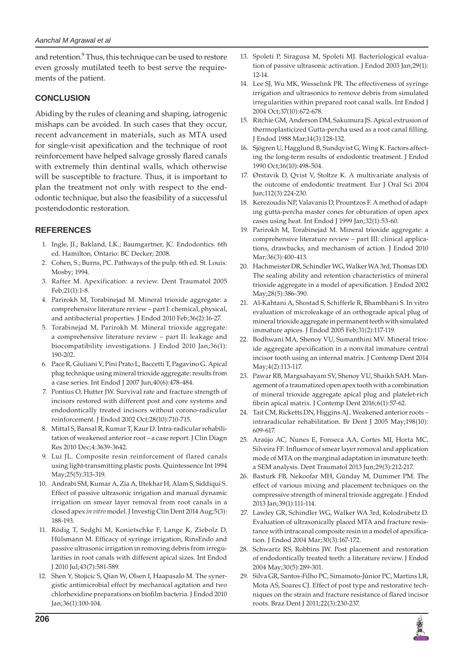and retention.<sup>9</sup> Thus, this technique can be used to restore even grossly mutilated teeth to best serve the requirements of the patient.

## **CONCLUSION**

Abiding by the rules of cleaning and shaping, iatrogenic mishaps can be avoided. In such cases that they occur, recent advancement in materials, such as MTA used for single-visit apexification and the technique of root reinforcement have helped salvage grossly flared canals with extremely thin dentinal walls, which otherwise will be susceptible to fracture. Thus, it is important to plan the treatment not only with respect to the endodontic technique, but also the feasibility of a successful postendodontic restoration.

## **REFERENCES**

- 1. Ingle, JI.; Bakland, LK.; Baumgartner, JC. Endodontics. 6th ed. Hamilton, Ontario: BC Decker; 2008.
- 2. Cohen, S.; Burns, PC. Pathways of the pulp. 6th ed. St. Louis: Mosby; 1994.
- 3. Rafter M. Apexification: a review. Dent Traumatol 2005 Feb;21(1):1-8.
- 4. Parirokh M, Torabinejad M. Mineral trioxide aggregate: a comprehensive literature review – part I: chemical, physical, and antibacterial properties. J Endod 2010 Feb;36(2):16-27.
- 5. Torabinejad M, Parirokh M. Mineral trioxide aggregate: a comprehensive literature review – part II: leakage and biocompatibility investigations. J Endod 2010 Jan;36(1): 190-202.
- 6. Pace R, Giuliani V, Pini Prato L, Baccetti T, Pagavino G. Apical plug technique using mineral trioxide aggregate: results from a case series. Int Endod J 2007 Jun;40(6):478-484.
- 7. Pontius O, Hutter JW. Survival rate and fracture strength of incisors restored with different post and core systems and endodontically treated incisors without corono-radicular reinforcement. J Endod 2002 Oct;28(10):710-715.
- 8. Mittal S, Bansal R, Kumar T, Kaur D. Intra-radicular rehabilitation of weakened anterior root – a case report. J Clin Diagn Res 2010 Dec;4:3639-3642.
- 9. Lui JL. Composite resin reinforcement of flared canals using light-transmitting plastic posts. Quintessence Int 1994 May;25(5):313-319.
- 10. Andrabi SM, Kumar A, Zia A, Iftekhar H, Alam S, Siddiqui S. Effect of passive ultrasonic irrigation and manual dynamic irrigation on smear layer removal from root canals in a closed apex *in vitro* model. J Investig Clin Dent 2014 Aug;5(3): 188-193.
- 11. Rödig T, Sedghi M, Konietschke F, Lange K, Ziebolz D, Hülsmann M. Efficacy of syringe irrigation, RinsEndo and passive ultrasonic irrigation in removing debris from irregularities in root canals with different apical sizes. Int Endod J 2010 Jul;43(7):581-589.
- 12. Shen Y, Stojicic S, Qian W, Olsen I, Haapasalo M. The synergistic antimicrobial effect by mechanical agitation and two chlorhexidine preparations on biofilm bacteria. J Endod 2010 Jan;36(1):100-104.
- 13. Spoleti P, Siragusa M, Spoleti MJ. Bacteriological evaluation of passive ultrasonic activation. J Endod 2003 Jan;29(1): 12-14.
- 14. Lee SJ, Wu MK, Wesselink PR. The effectiveness of syringe irrigation and ultrasonics to remove debris from simulated irregularities within prepared root canal walls. Int Endod J 2004 Oct;37(10):672-678.
- 15. Ritchie GM, Anderson DM, Sakumura JS. Apical extrusion of thermoplasticized Gutta-percha used as a root canal filling. J Endod 1988 Mar;14(3):128-132.
- 16. Sjögren U, Hagglund B, Sundqvist G, Wing K. Factors affecting the long-term results of endodontic treatment. J Endod 1990 Oct;16(10):498-504.
- 17. Ørstavik D, Qvist V, Stoltze K. A multivariate analysis of the outcome of endodontic treatment. Eur J Oral Sci 2004 Jun;112(3):224-230.
- 18. Kerezoudis NP, Valavanis D, Prountzos F. A method of adapting gutta-percha master cones for obturation of open apex cases using heat. Int Endod J 1999 Jan;32(1):53-60.
- 19. Parirokh M, Torabinejad M. Mineral trioxide aggregate: a comprehensive literature review – part III: clinical applications, drawbacks, and mechanism of action. J Endod 2010 Mar;36(3):400-413.
- 20. Hachmeister DR, Schindler WG, Walker WA 3rd, Thomas DD. The sealing ability and retention characteristics of mineral trioxide aggregate in a model of apexification. J Endod 2002 May;28(5):386-390.
- 21. Al-Kahtani A, Shostad S, Schifferle R, Bhambhani S. In vitro evaluation of microleakage of an orthograde apical plug of mineral trioxide aggregate in permanent teeth with simulated immature apices. J Endod 2005 Feb;31(2):117-119.
- 22. Bodhwani MA, Shenoy VU, Sumanthini MV. Mineral trioxide aggregate apexification in a nonvital immature central incisor tooth using an internal matrix. J Contemp Dent 2014 May;4(2):113-117.
- 23. Pawar RB, Margsahayam SV, Shenoy VU, Shaikh SAH. Management of a traumatized open apex tooth with a combination of mineral trioxide aggregate apical plug and platelet-rich fibrin apical matrix. J Contemp Dent 2016;6(1):57-62.
- 24. Tait CM, Ricketts DN, Higgins AJ.. Weakened anterior roots intraradicular rehabilitation. Br Dent J 2005 May;198(10): 609-617.
- 25. Araújo AC, Nunes E, Fonseca AA, Cortes MI, Horta MC, Silveira FF. Influence of smear layer removal and application mode of MTA on the marginal adaptation in immature teeth: a SEM analysis. Dent Traumatol 2013 Jun;29(3):212-217.
- 26. Basturk FB, Nekoofar MH, Günday M, Dummer PM. The effect of various mixing and placement techniques on the compressive strength of mineral trioxide aggregate. J Endod 2013 Jan;39(1):111-114.
- 27. Lawley GR, Schindler WG, Walker WA 3rd, Kolodrubetz D. Evaluation of ultrasonically placed MTA and fracture resistance with intracanal composite resin in a model of apexification. J Endod 2004 Mar;30(3):167-172.
- 28. Schwartz RS, Robbins JW. Post placement and restoration of endodontically treated teeth: a literature review. J Endod 2004 May;30(5):289-301.
- 29. Silva GR, Santos-Filho PC, Simamoto-Júnior PC, Martins LR, Mota AS, Soares CJ. Effect of post type and restorative techniques on the strain and fracture resistance of flared incisor roots. Braz Dent J 2011;22(3):230-237.